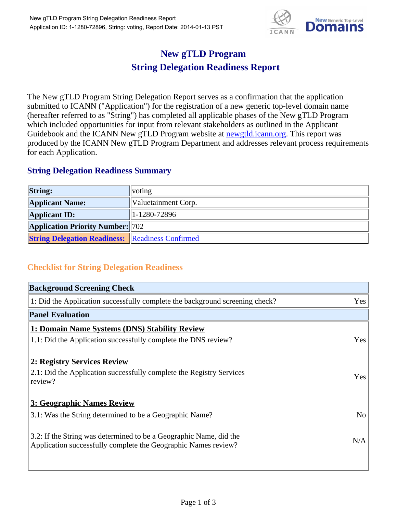

## **New gTLD Program String Delegation Readiness Report**

The New gTLD Program String Delegation Report serves as a confirmation that the application submitted to ICANN ("Application") for the registration of a new generic top-level domain name (hereafter referred to as "String") has completed all applicable phases of the New gTLD Program which included opportunities for input from relevant stakeholders as outlined in the Applicant Guidebook and the ICANN New gTLD Program website at **newgtld.jcann.org**. This report was produced by the ICANN New gTLD Program Department and addresses relevant process requirements for each Application.

## **String Delegation Readiness Summary**

| <b>String:</b>                                          | voting              |
|---------------------------------------------------------|---------------------|
| <b>Applicant Name:</b>                                  | Valuetainment Corp. |
| <b>Applicant ID:</b>                                    | $ 1-1280-72896 $    |
| <b>Application Priority Number: 702</b>                 |                     |
| <b>String Delegation Readiness:</b> Readiness Confirmed |                     |

## **Checklist for String Delegation Readiness**

| <b>Background Screening Check</b>                                               |                |  |
|---------------------------------------------------------------------------------|----------------|--|
| 1: Did the Application successfully complete the background screening check?    | Yes            |  |
| <b>Panel Evaluation</b>                                                         |                |  |
| 1: Domain Name Systems (DNS) Stability Review                                   |                |  |
| 1.1: Did the Application successfully complete the DNS review?                  | Yes            |  |
| 2: Registry Services Review                                                     |                |  |
|                                                                                 |                |  |
| 2.1: Did the Application successfully complete the Registry Services<br>review? | <b>Yes</b>     |  |
|                                                                                 |                |  |
| 3: Geographic Names Review                                                      |                |  |
| 3.1: Was the String determined to be a Geographic Name?                         | N <sub>0</sub> |  |
| 3.2: If the String was determined to be a Geographic Name, did the              |                |  |
| Application successfully complete the Geographic Names review?                  | N/A            |  |
|                                                                                 |                |  |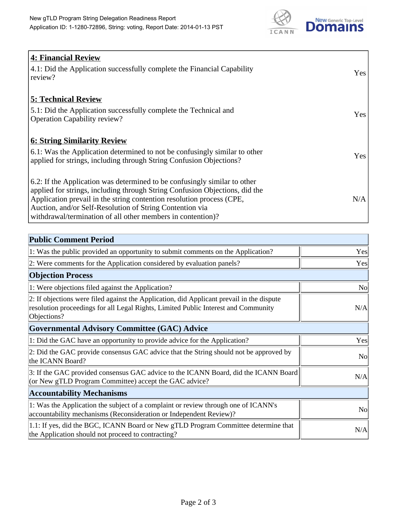

| <b>4: Financial Review</b><br>$\vert$ 4.1: Did the Application successfully complete the Financial Capability<br>review?                                                                                                                                                                                                                                     | <b>Yes</b> |
|--------------------------------------------------------------------------------------------------------------------------------------------------------------------------------------------------------------------------------------------------------------------------------------------------------------------------------------------------------------|------------|
| <b>5: Technical Review</b><br>5.1: Did the Application successfully complete the Technical and<br><b>Operation Capability review?</b>                                                                                                                                                                                                                        | <b>Yes</b> |
| <b>6: String Similarity Review</b><br>$\vert$ 6.1: Was the Application determined to not be confusingly similar to other<br>applied for strings, including through String Confusion Objections?                                                                                                                                                              | Yes        |
| 6.2: If the Application was determined to be confusingly similar to other<br>applied for strings, including through String Confusion Objections, did the<br>Application prevail in the string contention resolution process (CPE,<br>Auction, and/or Self-Resolution of String Contention via<br>withdrawal/termination of all other members in contention)? | N/A        |

| <b>Public Comment Period</b>                                                                                                                                                                   |                |
|------------------------------------------------------------------------------------------------------------------------------------------------------------------------------------------------|----------------|
| 1: Was the public provided an opportunity to submit comments on the Application?                                                                                                               | Yes            |
| 2: Were comments for the Application considered by evaluation panels?                                                                                                                          | Yes            |
| <b>Objection Process</b>                                                                                                                                                                       |                |
| 1: Were objections filed against the Application?                                                                                                                                              | <b>No</b>      |
| 2: If objections were filed against the Application, did Applicant prevail in the dispute<br>resolution proceedings for all Legal Rights, Limited Public Interest and Community<br>Objections? | N/A            |
| <b>Governmental Advisory Committee (GAC) Advice</b>                                                                                                                                            |                |
| 1: Did the GAC have an opportunity to provide advice for the Application?                                                                                                                      | Yes            |
| 2: Did the GAC provide consensus GAC advice that the String should not be approved by<br>the ICANN Board?                                                                                      | N <sub>o</sub> |
| 3: If the GAC provided consensus GAC advice to the ICANN Board, did the ICANN Board<br>(or New gTLD Program Committee) accept the GAC advice?                                                  | N/A            |
| <b>Accountability Mechanisms</b>                                                                                                                                                               |                |
| 1: Was the Application the subject of a complaint or review through one of ICANN's<br>accountability mechanisms (Reconsideration or Independent Review)?                                       | <b>No</b>      |
| 1.1: If yes, did the BGC, ICANN Board or New gTLD Program Committee determine that<br>the Application should not proceed to contracting?                                                       | N/A            |